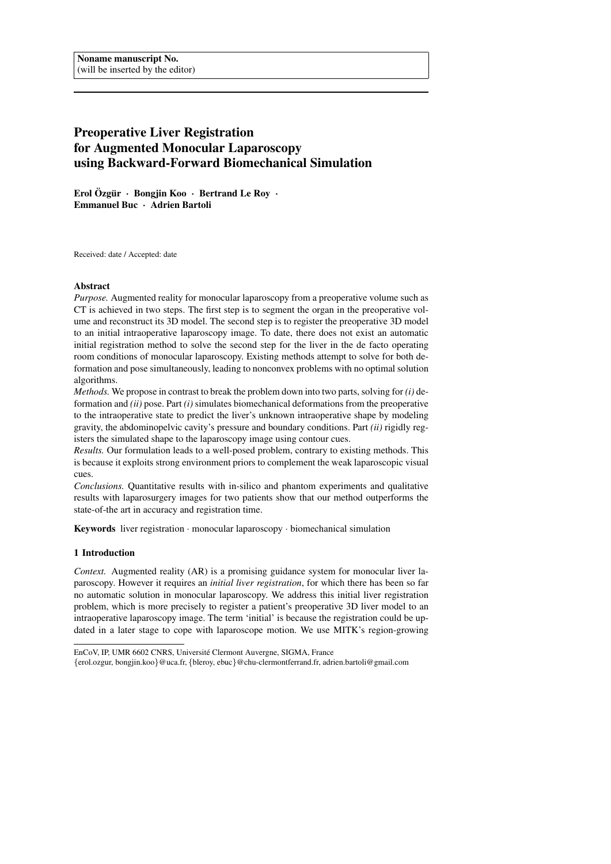# Preoperative Liver Registration for Augmented Monocular Laparoscopy using Backward-Forward Biomechanical Simulation

Erol Özgür · Bongjin Koo · Bertrand Le Roy · Emmanuel Buc · Adrien Bartoli

Received: date / Accepted: date

# Abstract

*Purpose.* Augmented reality for monocular laparoscopy from a preoperative volume such as CT is achieved in two steps. The first step is to segment the organ in the preoperative volume and reconstruct its 3D model. The second step is to register the preoperative 3D model to an initial intraoperative laparoscopy image. To date, there does not exist an automatic initial registration method to solve the second step for the liver in the de facto operating room conditions of monocular laparoscopy. Existing methods attempt to solve for both deformation and pose simultaneously, leading to nonconvex problems with no optimal solution algorithms.

*Methods.* We propose in contrast to break the problem down into two parts, solving for *(i)* deformation and *(ii)* pose. Part *(i)* simulates biomechanical deformations from the preoperative to the intraoperative state to predict the liver's unknown intraoperative shape by modeling gravity, the abdominopelvic cavity's pressure and boundary conditions. Part *(ii)* rigidly registers the simulated shape to the laparoscopy image using contour cues.

*Results.* Our formulation leads to a well-posed problem, contrary to existing methods. This is because it exploits strong environment priors to complement the weak laparoscopic visual cues.

*Conclusions.* Quantitative results with in-silico and phantom experiments and qualitative results with laparosurgery images for two patients show that our method outperforms the state-of-the art in accuracy and registration time.

Keywords liver registration · monocular laparoscopy · biomechanical simulation

# 1 Introduction

*Context.* Augmented reality (AR) is a promising guidance system for monocular liver laparoscopy. However it requires an *initial liver registration*, for which there has been so far no automatic solution in monocular laparoscopy. We address this initial liver registration problem, which is more precisely to register a patient's preoperative 3D liver model to an intraoperative laparoscopy image. The term 'initial' is because the registration could be updated in a later stage to cope with laparoscope motion. We use MITK's region-growing

EnCoV, IP, UMR 6602 CNRS, Université Clermont Auvergne, SIGMA, France

<sup>{</sup>erol.ozgur, bongjin.koo}@uca.fr, {bleroy, ebuc}@chu-clermontferrand.fr, adrien.bartoli@gmail.com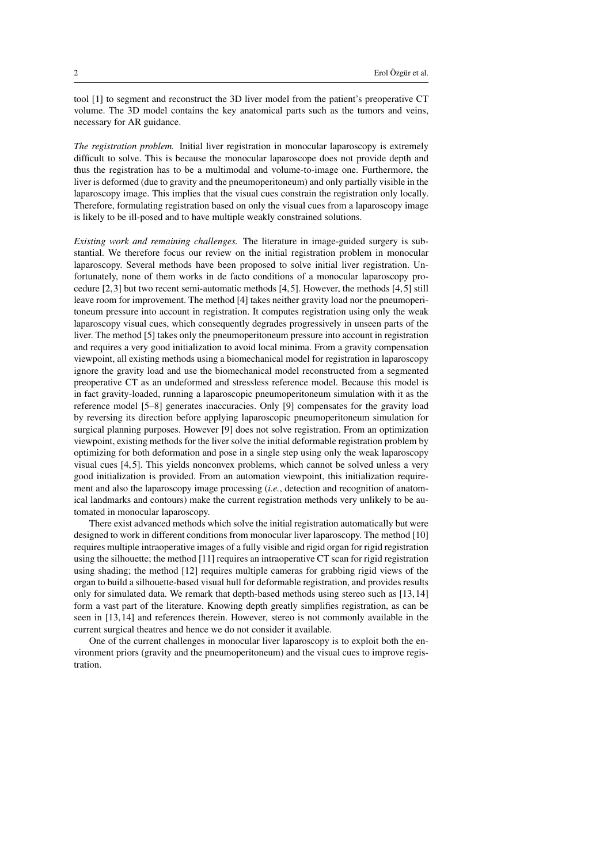tool [1] to segment and reconstruct the 3D liver model from the patient's preoperative CT volume. The 3D model contains the key anatomical parts such as the tumors and veins, necessary for AR guidance.

*The registration problem.* Initial liver registration in monocular laparoscopy is extremely difficult to solve. This is because the monocular laparoscope does not provide depth and thus the registration has to be a multimodal and volume-to-image one. Furthermore, the liver is deformed (due to gravity and the pneumoperitoneum) and only partially visible in the laparoscopy image. This implies that the visual cues constrain the registration only locally. Therefore, formulating registration based on only the visual cues from a laparoscopy image is likely to be ill-posed and to have multiple weakly constrained solutions.

*Existing work and remaining challenges.* The literature in image-guided surgery is substantial. We therefore focus our review on the initial registration problem in monocular laparoscopy. Several methods have been proposed to solve initial liver registration. Unfortunately, none of them works in de facto conditions of a monocular laparoscopy procedure [2, 3] but two recent semi-automatic methods [4, 5]. However, the methods [4, 5] still leave room for improvement. The method [4] takes neither gravity load nor the pneumoperitoneum pressure into account in registration. It computes registration using only the weak laparoscopy visual cues, which consequently degrades progressively in unseen parts of the liver. The method [5] takes only the pneumoperitoneum pressure into account in registration and requires a very good initialization to avoid local minima. From a gravity compensation viewpoint, all existing methods using a biomechanical model for registration in laparoscopy ignore the gravity load and use the biomechanical model reconstructed from a segmented preoperative CT as an undeformed and stressless reference model. Because this model is in fact gravity-loaded, running a laparoscopic pneumoperitoneum simulation with it as the reference model [5–8] generates inaccuracies. Only [9] compensates for the gravity load by reversing its direction before applying laparoscopic pneumoperitoneum simulation for surgical planning purposes. However [9] does not solve registration. From an optimization viewpoint, existing methods for the liver solve the initial deformable registration problem by optimizing for both deformation and pose in a single step using only the weak laparoscopy visual cues [4, 5]. This yields nonconvex problems, which cannot be solved unless a very good initialization is provided. From an automation viewpoint, this initialization requirement and also the laparoscopy image processing (*i.e.*, detection and recognition of anatomical landmarks and contours) make the current registration methods very unlikely to be automated in monocular laparoscopy.

There exist advanced methods which solve the initial registration automatically but were designed to work in different conditions from monocular liver laparoscopy. The method [10] requires multiple intraoperative images of a fully visible and rigid organ for rigid registration using the silhouette; the method [11] requires an intraoperative CT scan for rigid registration using shading; the method [12] requires multiple cameras for grabbing rigid views of the organ to build a silhouette-based visual hull for deformable registration, and provides results only for simulated data. We remark that depth-based methods using stereo such as [13, 14] form a vast part of the literature. Knowing depth greatly simplifies registration, as can be seen in [13, 14] and references therein. However, stereo is not commonly available in the current surgical theatres and hence we do not consider it available.

One of the current challenges in monocular liver laparoscopy is to exploit both the environment priors (gravity and the pneumoperitoneum) and the visual cues to improve registration.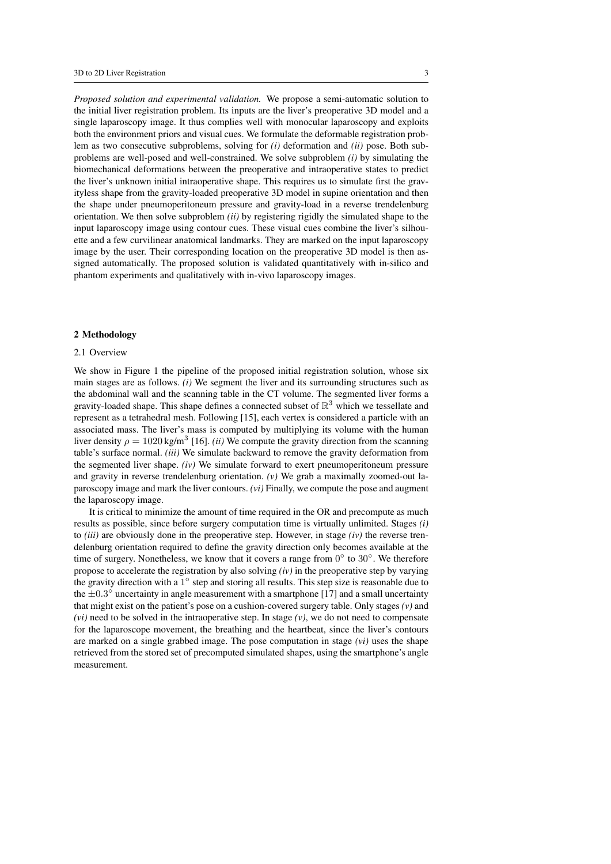*Proposed solution and experimental validation.* We propose a semi-automatic solution to the initial liver registration problem. Its inputs are the liver's preoperative 3D model and a single laparoscopy image. It thus complies well with monocular laparoscopy and exploits both the environment priors and visual cues. We formulate the deformable registration problem as two consecutive subproblems, solving for *(i)* deformation and *(ii)* pose. Both subproblems are well-posed and well-constrained. We solve subproblem *(i)* by simulating the biomechanical deformations between the preoperative and intraoperative states to predict the liver's unknown initial intraoperative shape. This requires us to simulate first the gravityless shape from the gravity-loaded preoperative 3D model in supine orientation and then the shape under pneumoperitoneum pressure and gravity-load in a reverse trendelenburg orientation. We then solve subproblem *(ii)* by registering rigidly the simulated shape to the input laparoscopy image using contour cues. These visual cues combine the liver's silhouette and a few curvilinear anatomical landmarks. They are marked on the input laparoscopy image by the user. Their corresponding location on the preoperative 3D model is then assigned automatically. The proposed solution is validated quantitatively with in-silico and phantom experiments and qualitatively with in-vivo laparoscopy images.

# 2 Methodology

# 2.1 Overview

We show in Figure 1 the pipeline of the proposed initial registration solution, whose six main stages are as follows. *(i)* We segment the liver and its surrounding structures such as the abdominal wall and the scanning table in the CT volume. The segmented liver forms a gravity-loaded shape. This shape defines a connected subset of  $\mathbb{R}^3$  which we tessellate and represent as a tetrahedral mesh. Following [15], each vertex is considered a particle with an associated mass. The liver's mass is computed by multiplying its volume with the human liver density  $\rho = 1020 \text{ kg/m}^3$  [16]. *(ii)* We compute the gravity direction from the scanning table's surface normal. *(iii)* We simulate backward to remove the gravity deformation from the segmented liver shape. *(iv)* We simulate forward to exert pneumoperitoneum pressure and gravity in reverse trendelenburg orientation. *(v)* We grab a maximally zoomed-out laparoscopy image and mark the liver contours. *(vi)* Finally, we compute the pose and augment the laparoscopy image.

It is critical to minimize the amount of time required in the OR and precompute as much results as possible, since before surgery computation time is virtually unlimited. Stages *(i)* to *(iii)* are obviously done in the preoperative step. However, in stage *(iv)* the reverse trendelenburg orientation required to define the gravity direction only becomes available at the time of surgery. Nonetheless, we know that it covers a range from  $0^{\circ}$  to  $30^{\circ}$ . We therefore propose to accelerate the registration by also solving *(iv)* in the preoperative step by varying the gravity direction with a  $1^\circ$  step and storing all results. This step size is reasonable due to the  $\pm 0.3^\circ$  uncertainty in angle measurement with a smartphone [17] and a small uncertainty that might exist on the patient's pose on a cushion-covered surgery table. Only stages *(v)* and *(vi)* need to be solved in the intraoperative step. In stage  $(v)$ , we do not need to compensate for the laparoscope movement, the breathing and the heartbeat, since the liver's contours are marked on a single grabbed image. The pose computation in stage *(vi)* uses the shape retrieved from the stored set of precomputed simulated shapes, using the smartphone's angle measurement.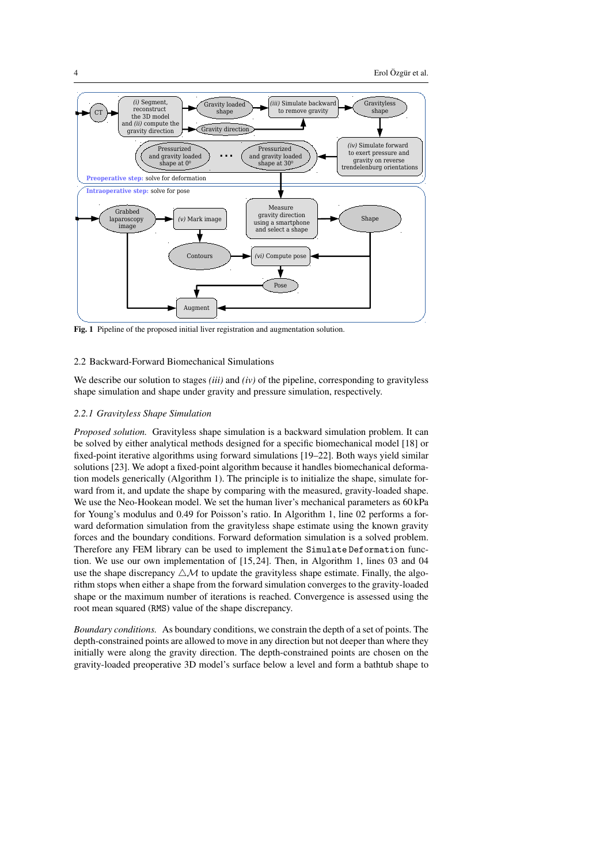

Fig. 1 Pipeline of the proposed initial liver registration and augmentation solution.

### 2.2 Backward-Forward Biomechanical Simulations

We describe our solution to stages *(iii)* and *(iv)* of the pipeline, corresponding to gravityless shape simulation and shape under gravity and pressure simulation, respectively.

### *2.2.1 Gravityless Shape Simulation*

*Proposed solution.* Gravityless shape simulation is a backward simulation problem. It can be solved by either analytical methods designed for a specific biomechanical model [18] or fixed-point iterative algorithms using forward simulations [19–22]. Both ways yield similar solutions [23]. We adopt a fixed-point algorithm because it handles biomechanical deformation models generically (Algorithm 1). The principle is to initialize the shape, simulate forward from it, and update the shape by comparing with the measured, gravity-loaded shape. We use the Neo-Hookean model. We set the human liver's mechanical parameters as 60 kPa for Young's modulus and 0.49 for Poisson's ratio. In Algorithm 1, line 02 performs a forward deformation simulation from the gravityless shape estimate using the known gravity forces and the boundary conditions. Forward deformation simulation is a solved problem. Therefore any FEM library can be used to implement the Simulate Deformation function. We use our own implementation of [15, 24]. Then, in Algorithm 1, lines 03 and 04 use the shape discrepancy  $\triangle \mathcal{M}$  to update the gravityless shape estimate. Finally, the algorithm stops when either a shape from the forward simulation converges to the gravity-loaded shape or the maximum number of iterations is reached. Convergence is assessed using the root mean squared (RMS) value of the shape discrepancy.

*Boundary conditions.* As boundary conditions, we constrain the depth of a set of points. The depth-constrained points are allowed to move in any direction but not deeper than where they initially were along the gravity direction. The depth-constrained points are chosen on the gravity-loaded preoperative 3D model's surface below a level and form a bathtub shape to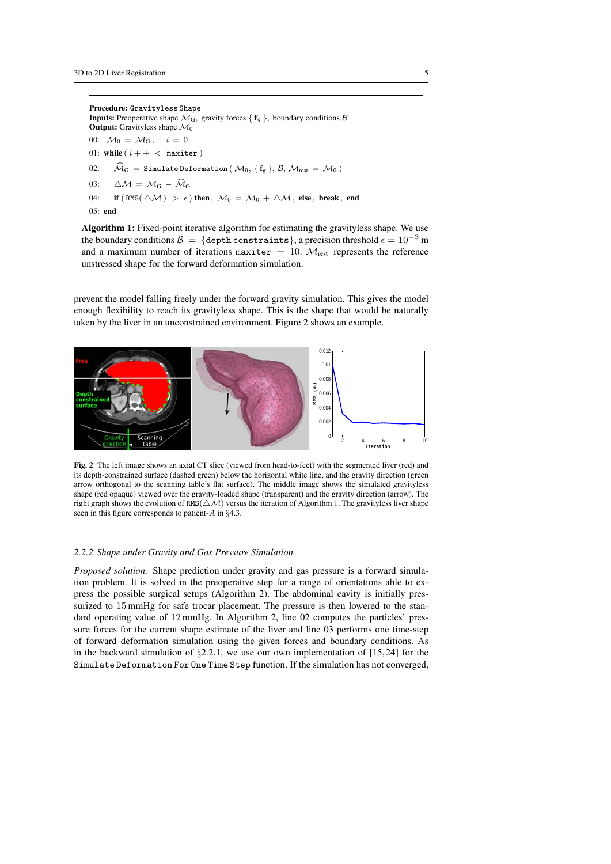Procedure: Gravityless Shape **Inputs:** Preoperative shape  $\mathcal{M}_G$ , gravity forces {  $f_q$  }, boundary conditions  $\beta$ **Output:** Gravityless shape  $\mathcal{M}_0$ 00:  $\mathcal{M}_0 = \mathcal{M}_G$ ,  $i = 0$ 01: while  $(i + + <$  maxiter) 02:  $\widehat{\mathcal{M}}_{\mathrm{G}} =$  Simulate Deformation  $(\mathcal{M}_0, \{\mathbf{f_g}\}, \mathcal{B}, \mathcal{M}_{\mathrm{rest}} = \mathcal{M}_0)$ 03:  $\Delta M = M_G - \widehat{M}_G$ 04: if  $(RMS(\triangle M) > \epsilon)$  then ,  $\mathcal{M}_0 = \mathcal{M}_0 + \triangle \mathcal{M}$ , else, break, end  $05:$  end

Algorithm 1: Fixed-point iterative algorithm for estimating the gravityless shape. We use the boundary conditions  $\mathcal{B} = \{$  depth constraints}, a precision threshold  $\epsilon = 10^{-3}$  m and a maximum number of iterations maxiter = 10.  $M_{\text{rest}}$  represents the reference unstressed shape for the forward deformation simulation.

prevent the model falling freely under the forward gravity simulation. This gives the model enough flexibility to reach its gravityless shape. This is the shape that would be naturally taken by the liver in an unconstrained environment. Figure 2 shows an example.



Fig. 2 The left image shows an axial CT slice (viewed from head-to-feet) with the segmented liver (red) and its depth-constrained surface (dashed green) below the horizontal white line, and the gravity direction (green arrow orthogonal to the scanning table's flat surface). The middle image shows the simulated gravityless shape (red opaque) viewed over the gravity-loaded shape (transparent) and the gravity direction (arrow). The right graph shows the evolution of RMS( $\triangle \mathcal{M}$ ) versus the iteration of Algorithm 1. The gravityless liver shape seen in this figure corresponds to patient-A in §4.3.

### *2.2.2 Shape under Gravity and Gas Pressure Simulation*

*Proposed solution.* Shape prediction under gravity and gas pressure is a forward simulation problem. It is solved in the preoperative step for a range of orientations able to express the possible surgical setups (Algorithm 2). The abdominal cavity is initially pressurized to 15 mmHg for safe trocar placement. The pressure is then lowered to the standard operating value of 12 mmHg. In Algorithm 2, line 02 computes the particles' pressure forces for the current shape estimate of the liver and line 03 performs one time-step of forward deformation simulation using the given forces and boundary conditions. As in the backward simulation of  $\S2.2.1$ , we use our own implementation of  $[15, 24]$  for the Simulate Deformation For One Time Step function. If the simulation has not converged,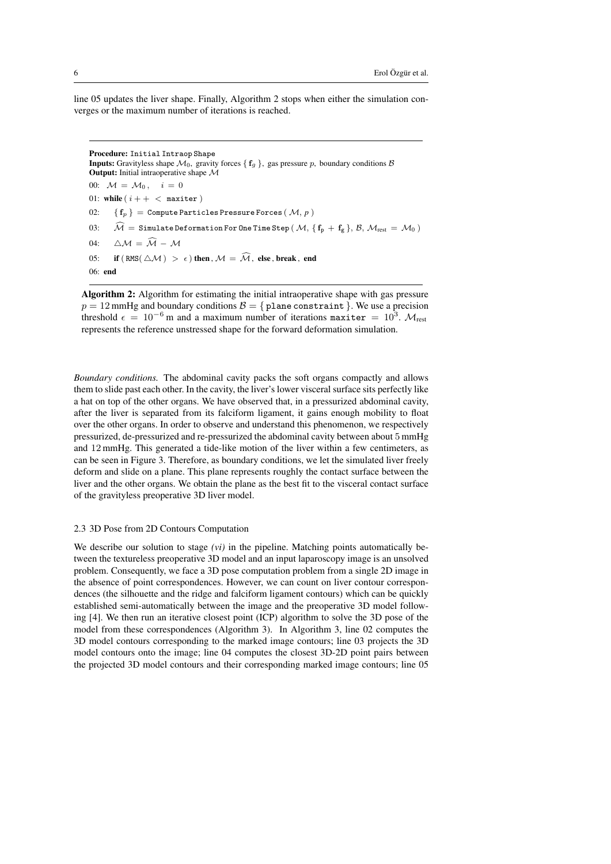line 05 updates the liver shape. Finally, Algorithm 2 stops when either the simulation converges or the maximum number of iterations is reached.

```
Procedure: Initial Intraop Shape
Inputs: Gravityless shape \mathcal{M}_0, gravity forces { f_g }, gas pressure p, boundary conditions \betaOutput: Initial intraoperative shape M
00: \mathcal{M} = \mathcal{M}_0, i = 001: while (i + + < maxiter)
02: \{f_n\} = Compute Particles Pressure Forces (M, p)
03: \tilde{\mathcal{M}} = Simulate Deformation For One Time Step (\mathcal{M}, \{f_p + f_g\}, \mathcal{B}, \mathcal{M}_{rest} = \mathcal{M}_0)04: \wedge M = \widehat{M} - M05: if (RMS(\triangle \mathcal{M}) > \epsilon) then, \mathcal{M} = \widehat{\mathcal{M}}, else, break, end
06: end
```
Algorithm 2: Algorithm for estimating the initial intraoperative shape with gas pressure  $p = 12$  mmHg and boundary conditions  $B = \{$  plane constraint  $\}$ . We use a precision threshold  $\epsilon = 10^{-6}$  m and a maximum number of iterations maxiter  $= 10^3$ .  $\mathcal{M}_{\text{rest}}$ represents the reference unstressed shape for the forward deformation simulation.

*Boundary conditions.* The abdominal cavity packs the soft organs compactly and allows them to slide past each other. In the cavity, the liver's lower visceral surface sits perfectly like a hat on top of the other organs. We have observed that, in a pressurized abdominal cavity, after the liver is separated from its falciform ligament, it gains enough mobility to float over the other organs. In order to observe and understand this phenomenon, we respectively pressurized, de-pressurized and re-pressurized the abdominal cavity between about 5 mmHg and 12 mmHg. This generated a tide-like motion of the liver within a few centimeters, as can be seen in Figure 3. Therefore, as boundary conditions, we let the simulated liver freely deform and slide on a plane. This plane represents roughly the contact surface between the liver and the other organs. We obtain the plane as the best fit to the visceral contact surface of the gravityless preoperative 3D liver model.

#### 2.3 3D Pose from 2D Contours Computation

We describe our solution to stage *(vi)* in the pipeline. Matching points automatically between the textureless preoperative 3D model and an input laparoscopy image is an unsolved problem. Consequently, we face a 3D pose computation problem from a single 2D image in the absence of point correspondences. However, we can count on liver contour correspondences (the silhouette and the ridge and falciform ligament contours) which can be quickly established semi-automatically between the image and the preoperative 3D model following [4]. We then run an iterative closest point (ICP) algorithm to solve the 3D pose of the model from these correspondences (Algorithm 3). In Algorithm 3, line 02 computes the 3D model contours corresponding to the marked image contours; line 03 projects the 3D model contours onto the image; line 04 computes the closest 3D-2D point pairs between the projected 3D model contours and their corresponding marked image contours; line 05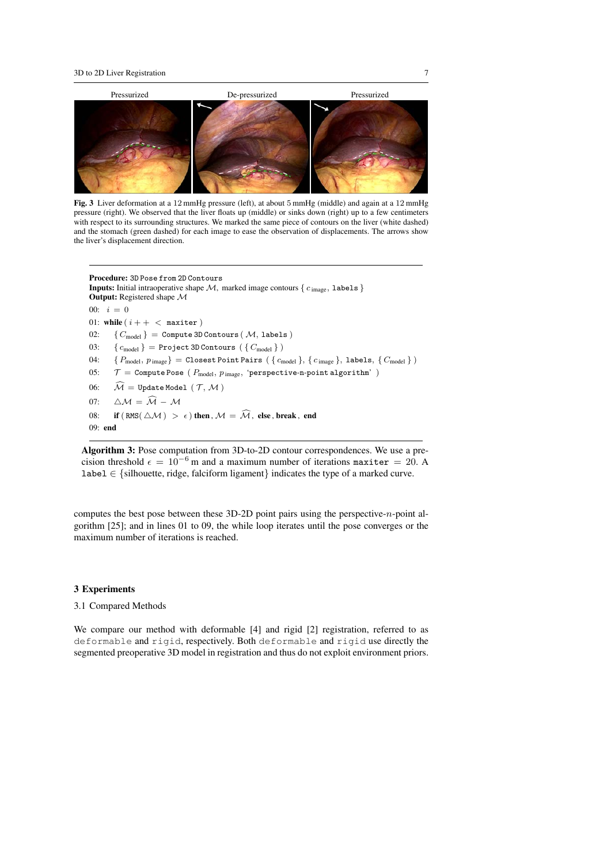

Fig. 3 Liver deformation at a 12 mmHg pressure (left), at about 5 mmHg (middle) and again at a 12 mmHg pressure (right). We observed that the liver floats up (middle) or sinks down (right) up to a few centimeters with respect to its surrounding structures. We marked the same piece of contours on the liver (white dashed) and the stomach (green dashed) for each image to ease the observation of displacements. The arrows show the liver's displacement direction.

```
Procedure: 3D Pose from 2D Contours
Inputs: Initial intraoperative shape M, marked image contours { c_{\text{image}}, labels }
Output: Registered shape M
00: i = 001: while (i + + < maxiter)
02: \{C_{\text{model}}\} = Compute 3D Contours (M, labels)
03: \{c_{\text{model}}\} = Project 3D Contours (\{C_{\text{model}}\})04: \{P_{\text{model}}, p_{\text{image}}\} = \text{Closed Point Pairs } (\{c_{\text{model}}\}, \{c_{\text{image}}\}, \text{labels}, \{C_{\text{model}}\})05: \mathcal{T} = Compute Pose (P_{model}, p_{image}, 'perspective-n-point algorithm')
06: \widehat{\mathcal{M}} = Update Model (\mathcal{T}, \mathcal{M})07: \Delta M = \widehat{M} - M08: if (RMS(\triangle \mathcal{M}) > \epsilon) then, \mathcal{M} = \widehat{\mathcal{M}}, else, break, end
09: end
```
Algorithm 3: Pose computation from 3D-to-2D contour correspondences. We use a precision threshold  $\epsilon = 10^{-6}$  m and a maximum number of iterations maxiter = 20. A label ∈ {silhouette, ridge, falciform ligament} indicates the type of a marked curve.

computes the best pose between these 3D-2D point pairs using the perspective-n-point algorithm [25]; and in lines 01 to 09, the while loop iterates until the pose converges or the maximum number of iterations is reached.

### 3 Experiments

### 3.1 Compared Methods

We compare our method with deformable [4] and rigid [2] registration, referred to as deformable and rigid, respectively. Both deformable and rigid use directly the segmented preoperative 3D model in registration and thus do not exploit environment priors.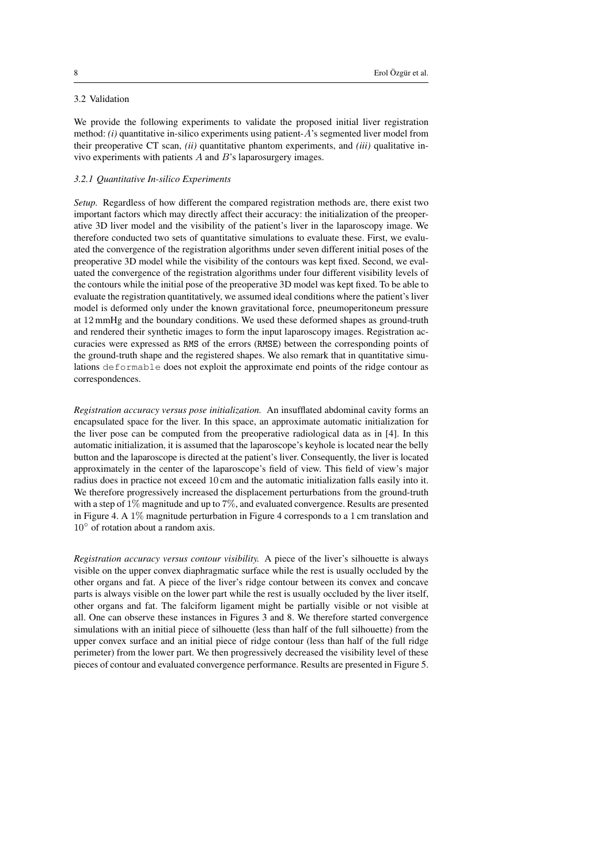# 3.2 Validation

We provide the following experiments to validate the proposed initial liver registration method: *(i)* quantitative in-silico experiments using patient-A's segmented liver model from their preoperative CT scan, *(ii)* quantitative phantom experiments, and *(iii)* qualitative invivo experiments with patients  $A$  and  $B$ 's laparosurgery images.

# *3.2.1 Quantitative In-silico Experiments*

*Setup.* Regardless of how different the compared registration methods are, there exist two important factors which may directly affect their accuracy: the initialization of the preoperative 3D liver model and the visibility of the patient's liver in the laparoscopy image. We therefore conducted two sets of quantitative simulations to evaluate these. First, we evaluated the convergence of the registration algorithms under seven different initial poses of the preoperative 3D model while the visibility of the contours was kept fixed. Second, we evaluated the convergence of the registration algorithms under four different visibility levels of the contours while the initial pose of the preoperative 3D model was kept fixed. To be able to evaluate the registration quantitatively, we assumed ideal conditions where the patient's liver model is deformed only under the known gravitational force, pneumoperitoneum pressure at 12 mmHg and the boundary conditions. We used these deformed shapes as ground-truth and rendered their synthetic images to form the input laparoscopy images. Registration accuracies were expressed as RMS of the errors (RMSE) between the corresponding points of the ground-truth shape and the registered shapes. We also remark that in quantitative simulations deformable does not exploit the approximate end points of the ridge contour as correspondences.

*Registration accuracy versus pose initialization.* An insufflated abdominal cavity forms an encapsulated space for the liver. In this space, an approximate automatic initialization for the liver pose can be computed from the preoperative radiological data as in [4]. In this automatic initialization, it is assumed that the laparoscope's keyhole is located near the belly button and the laparoscope is directed at the patient's liver. Consequently, the liver is located approximately in the center of the laparoscope's field of view. This field of view's major radius does in practice not exceed 10 cm and the automatic initialization falls easily into it. We therefore progressively increased the displacement perturbations from the ground-truth with a step of  $1\%$  magnitude and up to 7%, and evaluated convergence. Results are presented in Figure 4. A 1% magnitude perturbation in Figure 4 corresponds to a 1 cm translation and 10° of rotation about a random axis.

*Registration accuracy versus contour visibility.* A piece of the liver's silhouette is always visible on the upper convex diaphragmatic surface while the rest is usually occluded by the other organs and fat. A piece of the liver's ridge contour between its convex and concave parts is always visible on the lower part while the rest is usually occluded by the liver itself, other organs and fat. The falciform ligament might be partially visible or not visible at all. One can observe these instances in Figures 3 and 8. We therefore started convergence simulations with an initial piece of silhouette (less than half of the full silhouette) from the upper convex surface and an initial piece of ridge contour (less than half of the full ridge perimeter) from the lower part. We then progressively decreased the visibility level of these pieces of contour and evaluated convergence performance. Results are presented in Figure 5.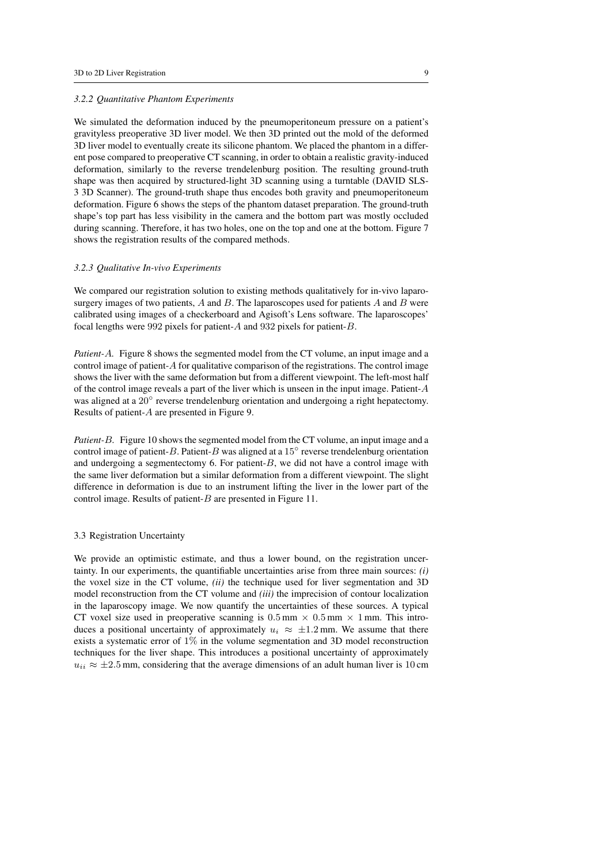#### *3.2.2 Quantitative Phantom Experiments*

We simulated the deformation induced by the pneumoperitoneum pressure on a patient's gravityless preoperative 3D liver model. We then 3D printed out the mold of the deformed 3D liver model to eventually create its silicone phantom. We placed the phantom in a different pose compared to preoperative CT scanning, in order to obtain a realistic gravity-induced deformation, similarly to the reverse trendelenburg position. The resulting ground-truth shape was then acquired by structured-light 3D scanning using a turntable (DAVID SLS-3 3D Scanner). The ground-truth shape thus encodes both gravity and pneumoperitoneum deformation. Figure 6 shows the steps of the phantom dataset preparation. The ground-truth shape's top part has less visibility in the camera and the bottom part was mostly occluded during scanning. Therefore, it has two holes, one on the top and one at the bottom. Figure 7 shows the registration results of the compared methods.

# *3.2.3 Qualitative In-vivo Experiments*

We compared our registration solution to existing methods qualitatively for in-vivo laparosurgery images of two patients,  $A$  and  $B$ . The laparoscopes used for patients  $A$  and  $B$  were calibrated using images of a checkerboard and Agisoft's Lens software. The laparoscopes' focal lengths were 992 pixels for patient-A and 932 pixels for patient-B.

*Patient-*A*.* Figure 8 shows the segmented model from the CT volume, an input image and a control image of patient-A for qualitative comparison of the registrations. The control image shows the liver with the same deformation but from a different viewpoint. The left-most half of the control image reveals a part of the liver which is unseen in the input image. Patient- $A$ was aligned at a 20° reverse trendelenburg orientation and undergoing a right hepatectomy. Results of patient-A are presented in Figure 9.

*Patient-*B*.* Figure 10 shows the segmented model from the CT volume, an input image and a control image of patient-B. Patient-B was aligned at a 15 $^{\circ}$  reverse trendelenburg orientation and undergoing a segmentectomy 6. For patient- $B$ , we did not have a control image with the same liver deformation but a similar deformation from a different viewpoint. The slight difference in deformation is due to an instrument lifting the liver in the lower part of the control image. Results of patient-B are presented in Figure 11.

# 3.3 Registration Uncertainty

We provide an optimistic estimate, and thus a lower bound, on the registration uncertainty. In our experiments, the quantifiable uncertainties arise from three main sources: *(i)* the voxel size in the CT volume, *(ii)* the technique used for liver segmentation and 3D model reconstruction from the CT volume and *(iii)* the imprecision of contour localization in the laparoscopy image. We now quantify the uncertainties of these sources. A typical CT voxel size used in preoperative scanning is  $0.5 \text{ mm} \times 0.5 \text{ mm} \times 1 \text{ mm}$ . This introduces a positional uncertainty of approximately  $u_i \approx \pm 1.2$  mm. We assume that there exists a systematic error of 1% in the volume segmentation and 3D model reconstruction techniques for the liver shape. This introduces a positional uncertainty of approximately  $u_{ii} \approx \pm 2.5$  mm, considering that the average dimensions of an adult human liver is 10 cm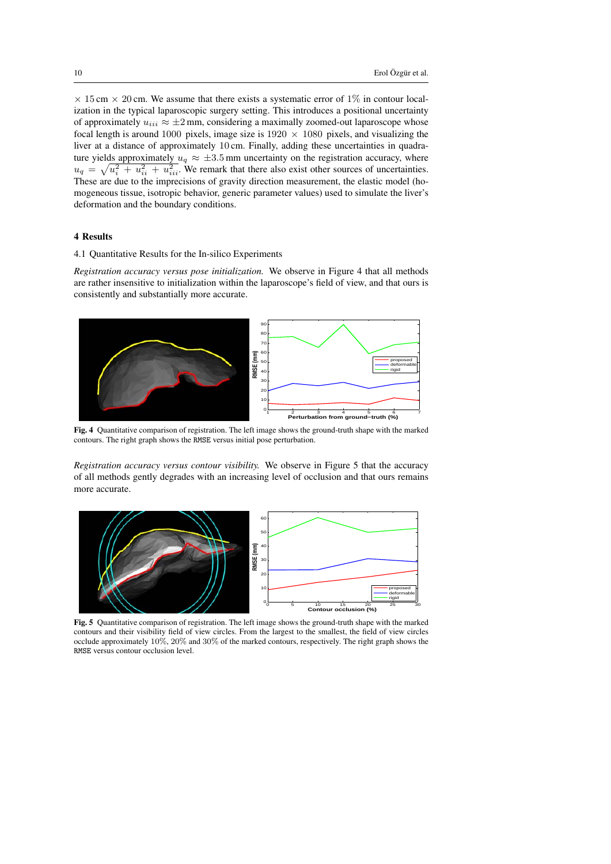$\times$  15 cm  $\times$  20 cm. We assume that there exists a systematic error of 1% in contour localization in the typical laparoscopic surgery setting. This introduces a positional uncertainty of approximately  $u_{iii} \approx \pm 2$  mm, considering a maximally zoomed-out laparoscope whose focal length is around 1000 pixels, image size is  $1920 \times 1080$  pixels, and visualizing the liver at a distance of approximately 10 cm. Finally, adding these uncertainties in quadrature yields approximately  $u_q \approx \pm 3.5$  mm uncertainty on the registration accuracy, where  $u_q = \sqrt{u_i^2 + u_{ii}^2 + u_{iii}^2}$ . We remark that there also exist other sources of uncertainties. These are due to the imprecisions of gravity direction measurement, the elastic model (homogeneous tissue, isotropic behavior, generic parameter values) used to simulate the liver's deformation and the boundary conditions.

# 4 Results

# 4.1 Quantitative Results for the In-silico Experiments

*Registration accuracy versus pose initialization.* We observe in Figure 4 that all methods are rather insensitive to initialization within the laparoscope's field of view, and that ours is consistently and substantially more accurate.



Fig. 4 Quantitative comparison of registration. The left image shows the ground-truth shape with the marked contours. The right graph shows the RMSE versus initial pose perturbation.

*Registration accuracy versus contour visibility.* We observe in Figure 5 that the accuracy of all methods gently degrades with an increasing level of occlusion and that ours remains more accurate.



Fig. 5 Quantitative comparison of registration. The left image shows the ground-truth shape with the marked contours and their visibility field of view circles. From the largest to the smallest, the field of view circles occlude approximately 10%, 20% and 30% of the marked contours, respectively. The right graph shows the RMSE versus contour occlusion level.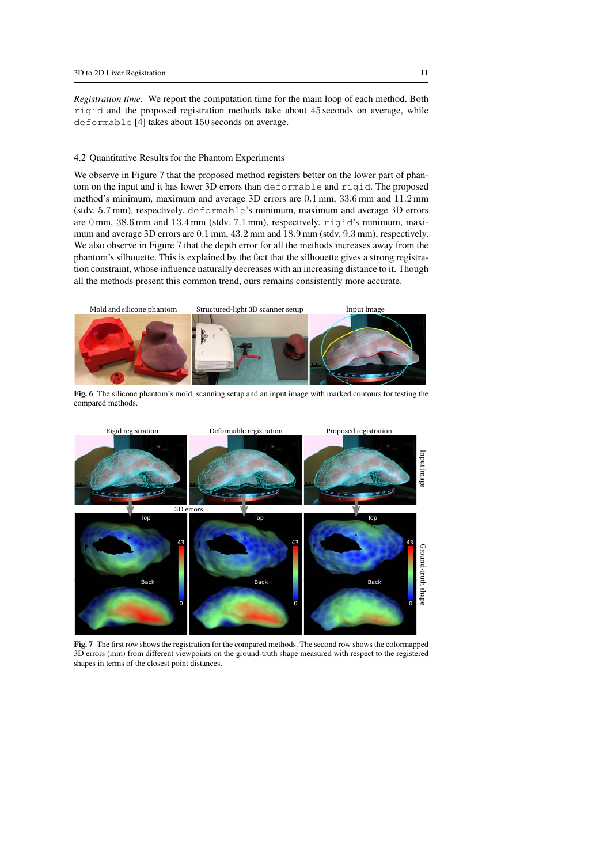*Registration time.* We report the computation time for the main loop of each method. Both rigid and the proposed registration methods take about 45 seconds on average, while deformable [4] takes about 150 seconds on average.

### 4.2 Quantitative Results for the Phantom Experiments

We observe in Figure 7 that the proposed method registers better on the lower part of phantom on the input and it has lower 3D errors than deformable and rigid. The proposed method's minimum, maximum and average 3D errors are 0.1 mm, 33.6 mm and 11.2 mm (stdv. 5.7 mm), respectively. deformable's minimum, maximum and average 3D errors are 0 mm, 38.6 mm and 13.4 mm (stdv. 7.1 mm), respectively. rigid's minimum, maximum and average 3D errors are 0.1 mm, 43.2 mm and 18.9 mm (stdv. 9.3 mm), respectively. We also observe in Figure 7 that the depth error for all the methods increases away from the phantom's silhouette. This is explained by the fact that the silhouette gives a strong registration constraint, whose influence naturally decreases with an increasing distance to it. Though all the methods present this common trend, ours remains consistently more accurate.



Fig. 6 The silicone phantom's mold, scanning setup and an input image with marked contours for testing the compared methods.



Fig. 7 The first row shows the registration for the compared methods. The second row shows the colormapped 3D errors (mm) from different viewpoints on the ground-truth shape measured with respect to the registered shapes in terms of the closest point distances.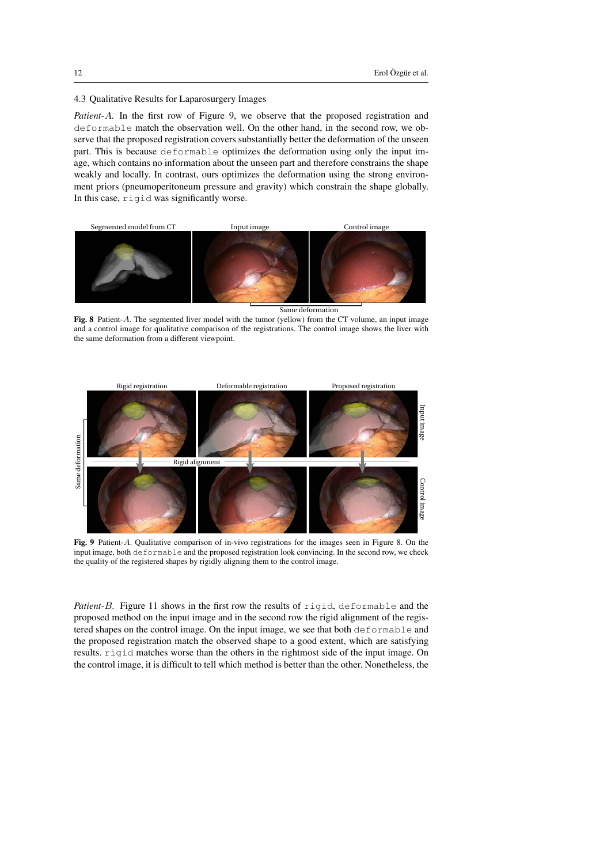## 4.3 Qualitative Results for Laparosurgery Images

*Patient-*A*.* In the first row of Figure 9, we observe that the proposed registration and deformable match the observation well. On the other hand, in the second row, we observe that the proposed registration covers substantially better the deformation of the unseen part. This is because deformable optimizes the deformation using only the input image, which contains no information about the unseen part and therefore constrains the shape weakly and locally. In contrast, ours optimizes the deformation using the strong environment priors (pneumoperitoneum pressure and gravity) which constrain the shape globally. In this case, rigid was significantly worse.



Same deformation

Fig. 8 Patient-A. The segmented liver model with the tumor (yellow) from the CT volume, an input image and a control image for qualitative comparison of the registrations. The control image shows the liver with the same deformation from a different viewpoint.



Fig. 9 Patient-A. Qualitative comparison of in-vivo registrations for the images seen in Figure 8. On the input image, both deformable and the proposed registration look convincing. In the second row, we check the quality of the registered shapes by rigidly aligning them to the control image.

*Patient-*B*.* Figure 11 shows in the first row the results of rigid, deformable and the proposed method on the input image and in the second row the rigid alignment of the registered shapes on the control image. On the input image, we see that both deformable and the proposed registration match the observed shape to a good extent, which are satisfying results. rigid matches worse than the others in the rightmost side of the input image. On the control image, it is difficult to tell which method is better than the other. Nonetheless, the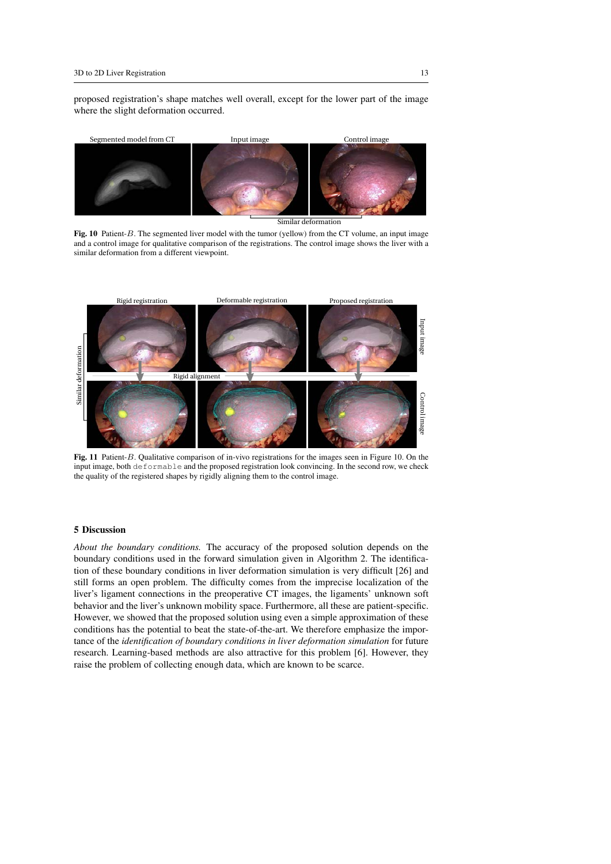proposed registration's shape matches well overall, except for the lower part of the image where the slight deformation occurred.



Similar deformation

Fig. 10 Patient-B. The segmented liver model with the tumor (yellow) from the CT volume, an input image and a control image for qualitative comparison of the registrations. The control image shows the liver with a similar deformation from a different viewpoint.



Fig. 11 Patient-B. Qualitative comparison of in-vivo registrations for the images seen in Figure 10. On the input image, both deformable and the proposed registration look convincing. In the second row, we check the quality of the registered shapes by rigidly aligning them to the control image.

# 5 Discussion

*About the boundary conditions.* The accuracy of the proposed solution depends on the boundary conditions used in the forward simulation given in Algorithm 2. The identification of these boundary conditions in liver deformation simulation is very difficult [26] and still forms an open problem. The difficulty comes from the imprecise localization of the liver's ligament connections in the preoperative CT images, the ligaments' unknown soft behavior and the liver's unknown mobility space. Furthermore, all these are patient-specific. However, we showed that the proposed solution using even a simple approximation of these conditions has the potential to beat the state-of-the-art. We therefore emphasize the importance of the *identification of boundary conditions in liver deformation simulation* for future research. Learning-based methods are also attractive for this problem [6]. However, they raise the problem of collecting enough data, which are known to be scarce.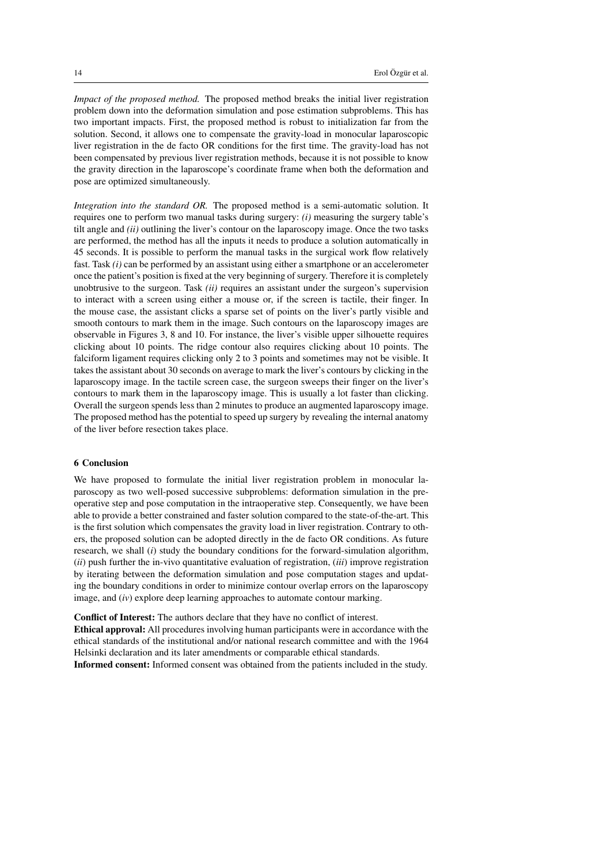*Impact of the proposed method.* The proposed method breaks the initial liver registration problem down into the deformation simulation and pose estimation subproblems. This has two important impacts. First, the proposed method is robust to initialization far from the solution. Second, it allows one to compensate the gravity-load in monocular laparoscopic liver registration in the de facto OR conditions for the first time. The gravity-load has not been compensated by previous liver registration methods, because it is not possible to know the gravity direction in the laparoscope's coordinate frame when both the deformation and pose are optimized simultaneously.

*Integration into the standard OR.* The proposed method is a semi-automatic solution. It requires one to perform two manual tasks during surgery: *(i)* measuring the surgery table's tilt angle and *(ii)* outlining the liver's contour on the laparoscopy image. Once the two tasks are performed, the method has all the inputs it needs to produce a solution automatically in 45 seconds. It is possible to perform the manual tasks in the surgical work flow relatively fast. Task *(i)* can be performed by an assistant using either a smartphone or an accelerometer once the patient's position is fixed at the very beginning of surgery. Therefore it is completely unobtrusive to the surgeon. Task *(ii)* requires an assistant under the surgeon's supervision to interact with a screen using either a mouse or, if the screen is tactile, their finger. In the mouse case, the assistant clicks a sparse set of points on the liver's partly visible and smooth contours to mark them in the image. Such contours on the laparoscopy images are observable in Figures 3, 8 and 10. For instance, the liver's visible upper silhouette requires clicking about 10 points. The ridge contour also requires clicking about 10 points. The falciform ligament requires clicking only 2 to 3 points and sometimes may not be visible. It takes the assistant about 30 seconds on average to mark the liver's contours by clicking in the laparoscopy image. In the tactile screen case, the surgeon sweeps their finger on the liver's contours to mark them in the laparoscopy image. This is usually a lot faster than clicking. Overall the surgeon spends less than 2 minutes to produce an augmented laparoscopy image. The proposed method has the potential to speed up surgery by revealing the internal anatomy of the liver before resection takes place.

#### 6 Conclusion

We have proposed to formulate the initial liver registration problem in monocular laparoscopy as two well-posed successive subproblems: deformation simulation in the preoperative step and pose computation in the intraoperative step. Consequently, we have been able to provide a better constrained and faster solution compared to the state-of-the-art. This is the first solution which compensates the gravity load in liver registration. Contrary to others, the proposed solution can be adopted directly in the de facto OR conditions. As future research, we shall (*i*) study the boundary conditions for the forward-simulation algorithm, (*ii*) push further the in-vivo quantitative evaluation of registration, (*iii*) improve registration by iterating between the deformation simulation and pose computation stages and updating the boundary conditions in order to minimize contour overlap errors on the laparoscopy image, and (*iv*) explore deep learning approaches to automate contour marking.

Conflict of Interest: The authors declare that they have no conflict of interest. Ethical approval: All procedures involving human participants were in accordance with the ethical standards of the institutional and/or national research committee and with the 1964 Helsinki declaration and its later amendments or comparable ethical standards.

Informed consent: Informed consent was obtained from the patients included in the study.